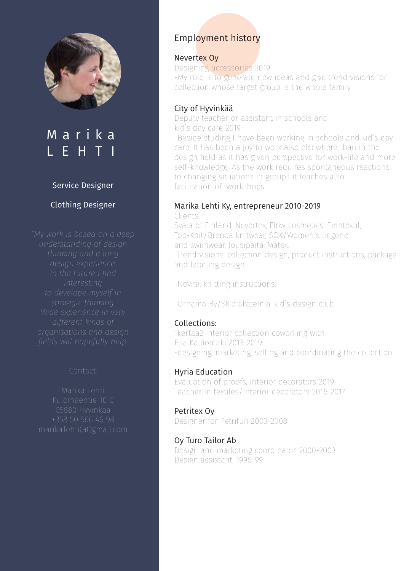

# M a r i k a L E H T I

### Service Designer

### Clothing Designer

# Employment history

### Nevertex Oy

Designing accessories 2019-

-My role is to generate new ideas and give trend visions for collection whose target group is the whole family.

### City of Hyvinkää

Deputy teacher or assistant in schools and kid`s day care 2019-

-Beside studing I have been working in schools and kid`s day care. It has been a joy to work also elsewhere than in the design field as it has given perspective for work-life and more self-knowledge. As the work requires spontaneous reactions to changing situations in groups it teaches also facilitation of workshops.

# Marika Lehti Ky, entrepreneur 2010-2019

Clients:

Svala of Finland, Nevertex, Flow cosmetics, Finntextil, Top-Knit/Brenda knitwear, SOK/Women`s lingerie and swimwear, Jousipaita, Matex. -Trend visions, collection design, product instructions, package and labeling design.

-Novita, knitting instructions.

-Ornamo Ry/Skidiakatemia, kid`s design club.

### Collections:

1kertaa2 interior collection coworking with Piia Kalliomäki 2013-2019. -designing, marketing, selling and coordinating the collection.

### Hyria Education

Evaluation of proofs, interior decorators 2019 Teacher in textiles/Interior decorators 2016-2017.

### Petritex Oy

Designer for Petrifun 2003-2008

### Oy Turo Tailor Ab

Design and marketing coordinator, 2000-2003 Design assistant, 1996-99